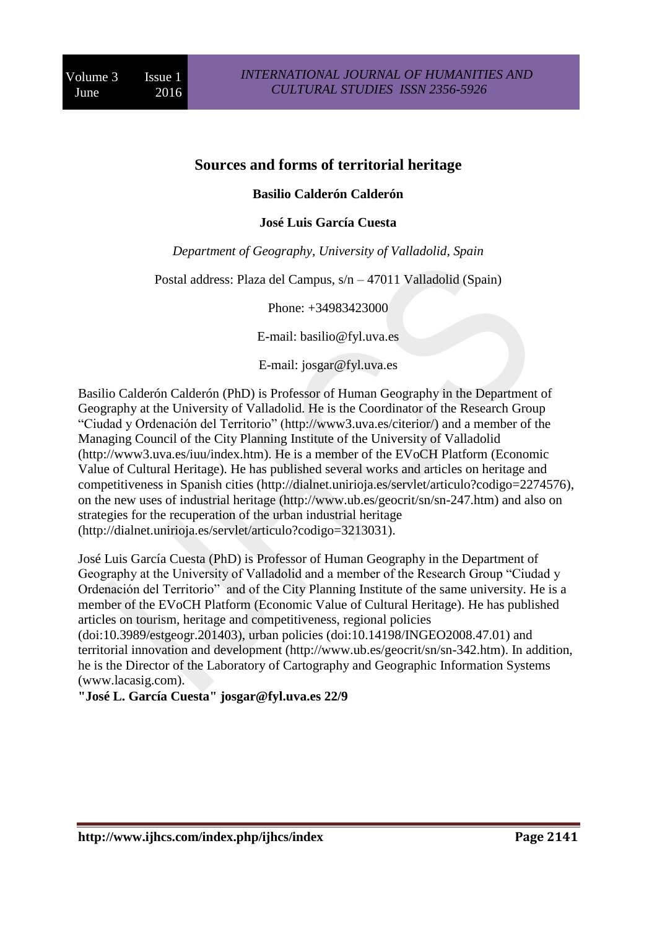# **Sources and forms of territorial heritage**

## **Basilio Calderón Calderón**

#### **José Luis García Cuesta**

*Department of Geography, University of Valladolid, Spain*

Postal address: Plaza del Campus, s/n – 47011 Valladolid (Spain)

Phone: +34983423000

E-mail: [basilio@fyl.uva.es](mailto:basilio@fyl.uva.es)

E-mail: [josgar@fyl.uva.es](mailto:josgar@fyl.uva.es)

Basilio Calderón Calderón (PhD) is Professor of Human Geography in the Department of Geography at the University of Valladolid. He is the Coordinator of the Research Group "Ciudad y Ordenación del Territorio" [\(http://www3.uva.es/citerior/\)](http://www3.uva.es/citerior/) and a member of the Managing Council of the City Planning Institute of the University of Valladolid [\(http://www3.uva.es/iuu/index.htm\)](http://www3.uva.es/iuu/index.htm). He is a member of the [EVoCH Platform](http://www.jcyl.es/web/jcyl/EVoCH/en/Plantilla66y33_100/1284160887673/_/_/_) (Economic Value of Cultural Heritage). He has published several works and articles on heritage and competitiveness in Spanish cities [\(http://dialnet.unirioja.es/servlet/articulo?codigo=2274576\)](http://dialnet.unirioja.es/servlet/articulo?codigo=2274576), on the new uses of industrial heritage [\(http://www.ub.es/geocrit/sn/sn-247.htm\)](http://www.ub.es/geocrit/sn/sn-247.htm) and also on strategies for the recuperation of the urban industrial heritage [\(http://dialnet.unirioja.es/servlet/articulo?codigo=3213031\)](http://dialnet.unirioja.es/servlet/articulo?codigo=3213031).

José Luis García Cuesta (PhD) is Professor of Human Geography in the Department of Geography at the University of Valladolid and a member of the Research Group "Ciudad y Ordenación del Territorio" and of the City Planning Institute of the same university. He is a member of the [EVoCH Platform](http://www.jcyl.es/web/jcyl/EVoCH/en/Plantilla66y33_100/1284160887673/_/_/_) (Economic Value of Cultural Heritage). He has published articles on tourism, heritage and competitiveness, regional policies

(doi[:10.3989/estgeogr.201403\)](http://dx.doi.org/10.3989/estgeogr.201403), urban policies (doi[:10.14198/INGEO2008.47.01\)](http://dx.doi.org/10.14198/INGEO2008.47.01) and territorial innovation and development [\(http://www.ub.es/geocrit/sn/sn-342.htm\)](http://www.ub.es/geocrit/sn/sn-342.htm). In addition, he is the Director of the Laboratory of Cartography and Geographic Information Systems [\(www.lacasig.com\)](http://www.lacasig.com/).

**"José L. García Cuesta" [josgar@fyl.uva.es](mailto:josgar@fyl.uva.es) 22/9**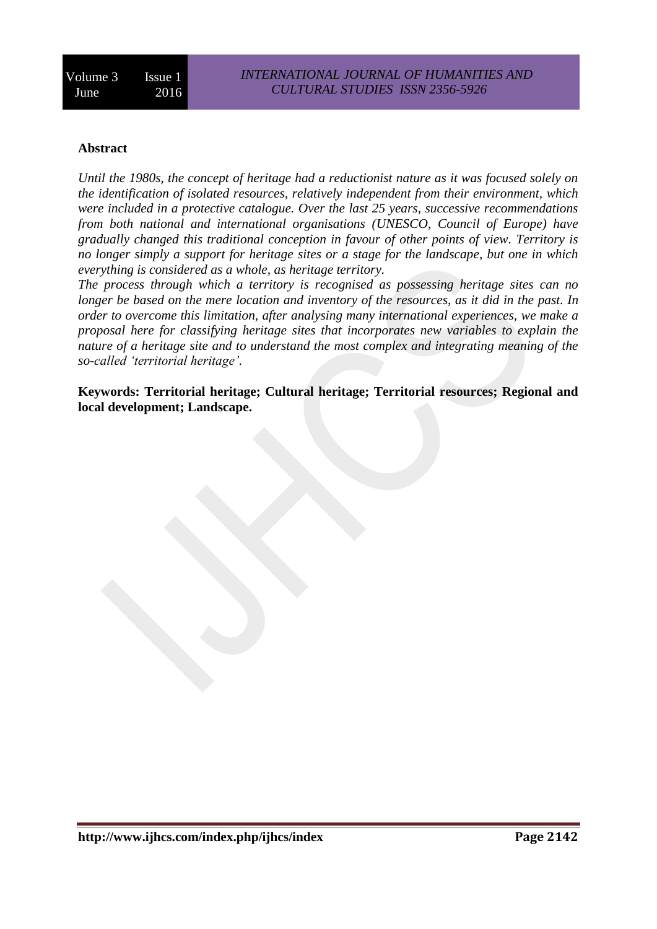## **Abstract**

*Until the 1980s, the concept of heritage had a reductionist nature as it was focused solely on the identification of isolated resources, relatively independent from their environment, which were included in a protective catalogue. Over the last 25 years, successive recommendations from both national and international organisations (UNESCO, Council of Europe) have gradually changed this traditional conception in favour of other points of view. Territory is no longer simply a support for heritage sites or a stage for the landscape, but one in which everything is considered as a whole, as heritage territory.* 

*The process through which a territory is recognised as possessing heritage sites can no longer be based on the mere location and inventory of the resources, as it did in the past. In order to overcome this limitation, after analysing many international experiences, we make a proposal here for classifying heritage sites that incorporates new variables to explain the nature of a heritage site and to understand the most complex and integrating meaning of the so-called 'territorial heritage'.*

**Keywords: Territorial heritage; Cultural heritage; Territorial resources; Regional and local development; Landscape.**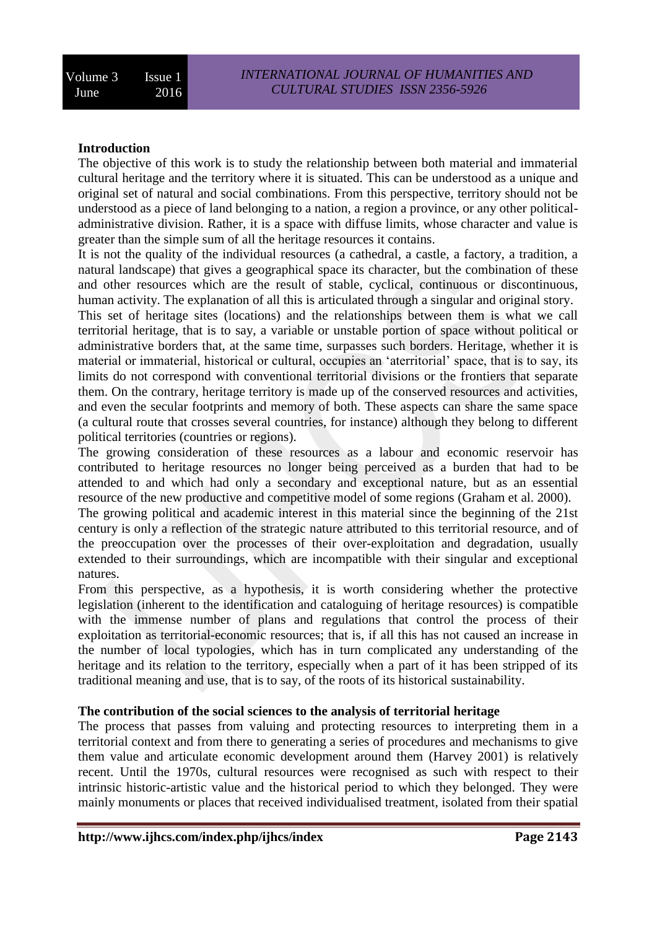## **Introduction**

The objective of this work is to study the relationship between both material and immaterial cultural heritage and the territory where it is situated. This can be understood as a unique and original set of natural and social combinations. From this perspective, territory should not be understood as a piece of land belonging to a nation, a region a province, or any other politicaladministrative division. Rather, it is a space with diffuse limits, whose character and value is greater than the simple sum of all the heritage resources it contains.

It is not the quality of the individual resources (a cathedral, a castle, a factory, a tradition, a natural landscape) that gives a geographical space its character, but the combination of these and other resources which are the result of stable, cyclical, continuous or discontinuous, human activity. The explanation of all this is articulated through a singular and original story.

This set of heritage sites (locations) and the relationships between them is what we call territorial heritage, that is to say, a variable or unstable portion of space without political or administrative borders that, at the same time, surpasses such borders. Heritage, whether it is material or immaterial, historical or cultural, occupies an 'aterritorial' space, that is to say, its limits do not correspond with conventional territorial divisions or the frontiers that separate them. On the contrary, heritage territory is made up of the conserved resources and activities, and even the secular footprints and memory of both. These aspects can share the same space (a cultural route that crosses several countries, for instance) although they belong to different political territories (countries or regions).

The growing consideration of these resources as a labour and economic reservoir has contributed to heritage resources no longer being perceived as a burden that had to be attended to and which had only a secondary and exceptional nature, but as an essential resource of the new productive and competitive model of some regions (Graham et al. 2000).

The growing political and academic interest in this material since the beginning of the 21st century is only a reflection of the strategic nature attributed to this territorial resource, and of the preoccupation over the processes of their over-exploitation and degradation, usually extended to their surroundings, which are incompatible with their singular and exceptional natures.

From this perspective, as a hypothesis, it is worth considering whether the protective legislation (inherent to the identification and cataloguing of heritage resources) is compatible with the immense number of plans and regulations that control the process of their exploitation as territorial-economic resources; that is, if all this has not caused an increase in the number of local typologies, which has in turn complicated any understanding of the heritage and its relation to the territory, especially when a part of it has been stripped of its traditional meaning and use, that is to say, of the roots of its historical sustainability.

## **The contribution of the social sciences to the analysis of territorial heritage**

The process that passes from valuing and protecting resources to interpreting them in a territorial context and from there to generating a series of procedures and mechanisms to give them value and articulate economic development around them (Harvey 2001) is relatively recent. Until the 1970s, cultural resources were recognised as such with respect to their intrinsic historic-artistic value and the historical period to which they belonged. They were mainly monuments or places that received individualised treatment, isolated from their spatial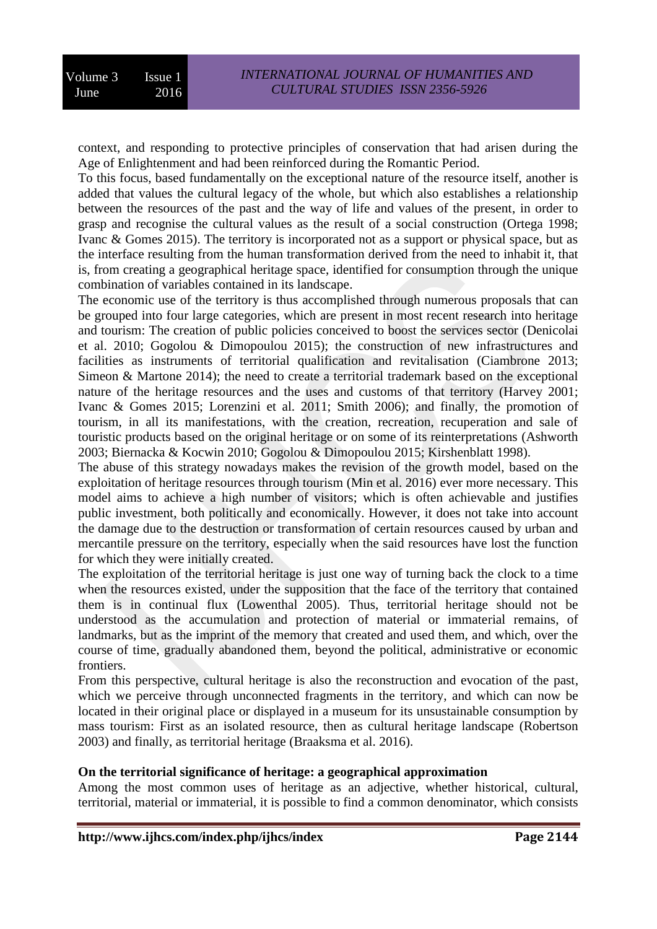context, and responding to protective principles of conservation that had arisen during the Age of Enlightenment and had been reinforced during the Romantic Period.

To this focus, based fundamentally on the exceptional nature of the resource itself, another is added that values the cultural legacy of the whole, but which also establishes a relationship between the resources of the past and the way of life and values of the present, in order to grasp and recognise the cultural values as the result of a social construction (Ortega 1998; Ivanc & Gomes 2015). The territory is incorporated not as a support or physical space, but as the interface resulting from the human transformation derived from the need to inhabit it, that is, from creating a geographical heritage space, identified for consumption through the unique combination of variables contained in its landscape.

The economic use of the territory is thus accomplished through numerous proposals that can be grouped into four large categories, which are present in most recent research into heritage and tourism: The creation of public policies conceived to boost the services sector (Denicolai et al. 2010; Gogolou & Dimopoulou 2015); the construction of new infrastructures and facilities as instruments of territorial qualification and revitalisation (Ciambrone 2013; Simeon & Martone 2014); the need to create a territorial trademark based on the exceptional nature of the heritage resources and the uses and customs of that territory (Harvey 2001; Ivanc & Gomes 2015; Lorenzini et al. 2011; Smith 2006); and finally, the promotion of tourism, in all its manifestations, with the creation, recreation, recuperation and sale of touristic products based on the original heritage or on some of its reinterpretations (Ashworth 2003; Biernacka & Kocwin 2010; Gogolou & Dimopoulou 2015; Kirshenblatt 1998).

The abuse of this strategy nowadays makes the revision of the growth model, based on the exploitation of heritage resources through tourism (Min et al. 2016) ever more necessary. This model aims to achieve a high number of visitors; which is often achievable and justifies public investment, both politically and economically. However, it does not take into account the damage due to the destruction or transformation of certain resources caused by urban and mercantile pressure on the territory, especially when the said resources have lost the function for which they were initially created.

The exploitation of the territorial heritage is just one way of turning back the clock to a time when the resources existed, under the supposition that the face of the territory that contained them is in continual flux (Lowenthal 2005). Thus, territorial heritage should not be understood as the accumulation and protection of material or immaterial remains, of landmarks, but as the imprint of the memory that created and used them, and which, over the course of time, gradually abandoned them, beyond the political, administrative or economic frontiers.

From this perspective, cultural heritage is also the reconstruction and evocation of the past, which we perceive through unconnected fragments in the territory, and which can now be located in their original place or displayed in a museum for its unsustainable consumption by mass tourism: First as an isolated resource, then as cultural heritage landscape (Robertson 2003) and finally, as territorial heritage (Braaksma et al. 2016).

## **On the territorial significance of heritage: a geographical approximation**

Among the most common uses of heritage as an adjective, whether historical, cultural, territorial, material or immaterial, it is possible to find a common denominator, which consists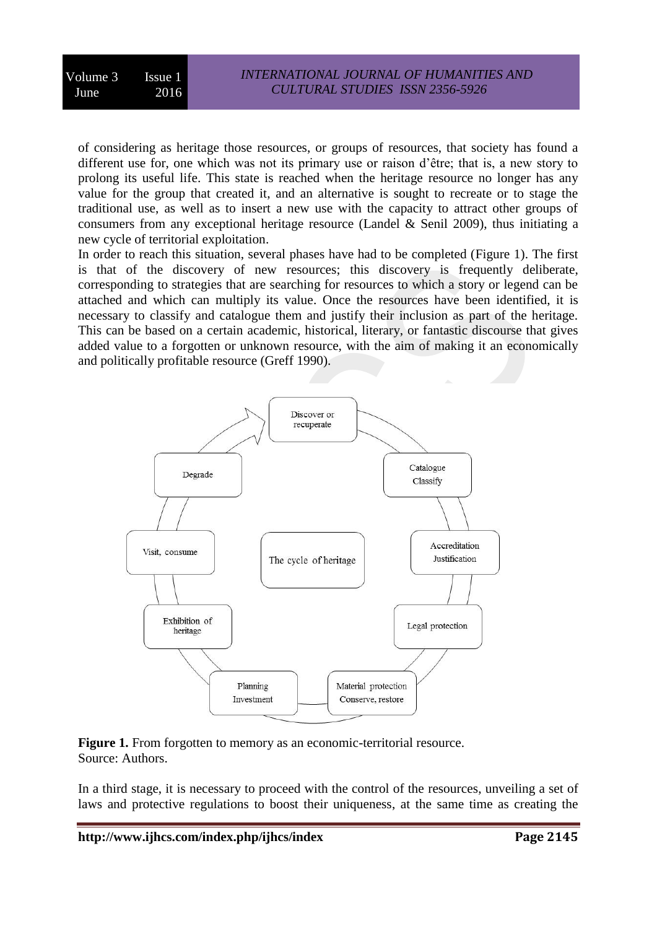of considering as heritage those resources, or groups of resources, that society has found a different use for, one which was not its primary use or raison d'être; that is, a new story to prolong its useful life. This state is reached when the heritage resource no longer has any value for the group that created it, and an alternative is sought to recreate or to stage the traditional use, as well as to insert a new use with the capacity to attract other groups of consumers from any exceptional heritage resource (Landel & Senil 2009), thus initiating a new cycle of territorial exploitation.

In order to reach this situation, several phases have had to be completed (Figure 1). The first is that of the discovery of new resources; this discovery is frequently deliberate, corresponding to strategies that are searching for resources to which a story or legend can be attached and which can multiply its value. Once the resources have been identified, it is necessary to classify and catalogue them and justify their inclusion as part of the heritage. This can be based on a certain academic, historical, literary, or fantastic discourse that gives added value to a forgotten or unknown resource, with the aim of making it an economically and politically profitable resource (Greff 1990).



Figure 1. From forgotten to memory as an economic-territorial resource. Source: Authors.

In a third stage, it is necessary to proceed with the control of the resources, unveiling a set of laws and protective regulations to boost their uniqueness, at the same time as creating the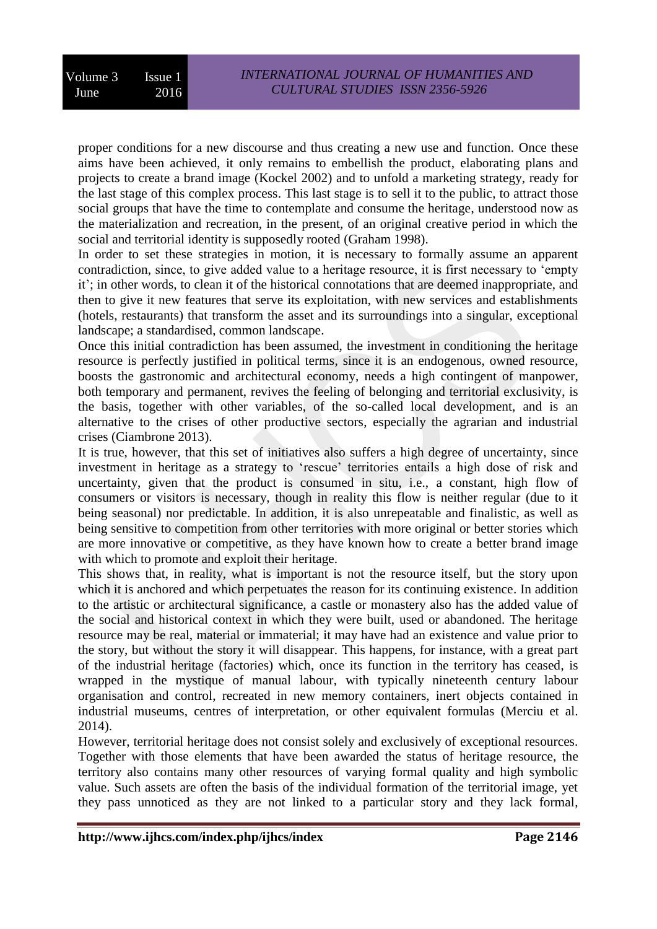proper conditions for a new discourse and thus creating a new use and function. Once these aims have been achieved, it only remains to embellish the product, elaborating plans and projects to create a brand image (Kockel 2002) and to unfold a marketing strategy, ready for the last stage of this complex process. This last stage is to sell it to the public, to attract those social groups that have the time to contemplate and consume the heritage, understood now as the materialization and recreation, in the present, of an original creative period in which the social and territorial identity is supposedly rooted (Graham 1998).

In order to set these strategies in motion, it is necessary to formally assume an apparent contradiction, since, to give added value to a heritage resource, it is first necessary to 'empty it'; in other words, to clean it of the historical connotations that are deemed inappropriate, and then to give it new features that serve its exploitation, with new services and establishments (hotels, restaurants) that transform the asset and its surroundings into a singular, exceptional landscape; a standardised, common landscape.

Once this initial contradiction has been assumed, the investment in conditioning the heritage resource is perfectly justified in political terms, since it is an endogenous, owned resource, boosts the gastronomic and architectural economy, needs a high contingent of manpower, both temporary and permanent, revives the feeling of belonging and territorial exclusivity, is the basis, together with other variables, of the so-called local development, and is an alternative to the crises of other productive sectors, especially the agrarian and industrial crises (Ciambrone 2013).

It is true, however, that this set of initiatives also suffers a high degree of uncertainty, since investment in heritage as a strategy to 'rescue' territories entails a high dose of risk and uncertainty, given that the product is consumed in situ, i.e., a constant, high flow of consumers or visitors is necessary, though in reality this flow is neither regular (due to it being seasonal) nor predictable. In addition, it is also unrepeatable and finalistic, as well as being sensitive to competition from other territories with more original or better stories which are more innovative or competitive, as they have known how to create a better brand image with which to promote and exploit their heritage.

This shows that, in reality, what is important is not the resource itself, but the story upon which it is anchored and which perpetuates the reason for its continuing existence. In addition to the artistic or architectural significance, a castle or monastery also has the added value of the social and historical context in which they were built, used or abandoned. The heritage resource may be real, material or immaterial; it may have had an existence and value prior to the story, but without the story it will disappear. This happens, for instance, with a great part of the industrial heritage (factories) which, once its function in the territory has ceased, is wrapped in the mystique of manual labour, with typically nineteenth century labour organisation and control, recreated in new memory containers, inert objects contained in industrial museums, centres of interpretation, or other equivalent formulas (Merciu et al. 2014).

However, territorial heritage does not consist solely and exclusively of exceptional resources. Together with those elements that have been awarded the status of heritage resource, the territory also contains many other resources of varying formal quality and high symbolic value. Such assets are often the basis of the individual formation of the territorial image, yet they pass unnoticed as they are not linked to a particular story and they lack formal,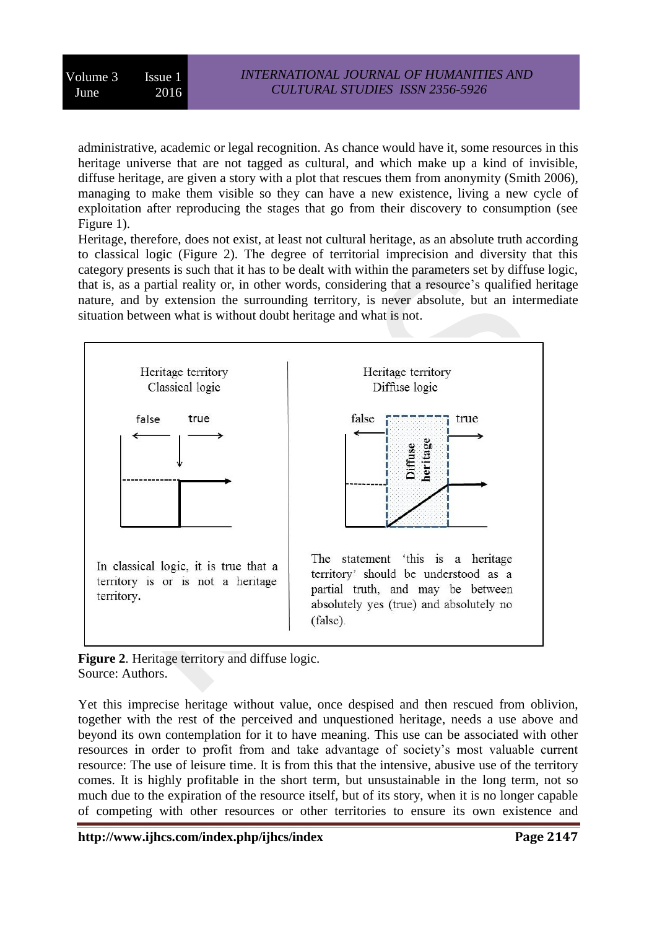administrative, academic or legal recognition. As chance would have it, some resources in this heritage universe that are not tagged as cultural, and which make up a kind of invisible, diffuse heritage, are given a story with a plot that rescues them from anonymity (Smith 2006), managing to make them visible so they can have a new existence, living a new cycle of exploitation after reproducing the stages that go from their discovery to consumption (see Figure 1).

Heritage, therefore, does not exist, at least not cultural heritage, as an absolute truth according to classical logic (Figure 2). The degree of territorial imprecision and diversity that this category presents is such that it has to be dealt with within the parameters set by diffuse logic, that is, as a partial reality or, in other words, considering that a resource's qualified heritage nature, and by extension the surrounding territory, is never absolute, but an intermediate situation between what is without doubt heritage and what is not.



**Figure 2**. Heritage territory and diffuse logic. Source: Authors.

Yet this imprecise heritage without value, once despised and then rescued from oblivion, together with the rest of the perceived and unquestioned heritage, needs a use above and beyond its own contemplation for it to have meaning. This use can be associated with other resources in order to profit from and take advantage of society's most valuable current resource: The use of leisure time. It is from this that the intensive, abusive use of the territory comes. It is highly profitable in the short term, but unsustainable in the long term, not so much due to the expiration of the resource itself, but of its story, when it is no longer capable of competing with other resources or other territories to ensure its own existence and

**http://www.ijhcs.com/index.php/ijhcs/index Page 2147**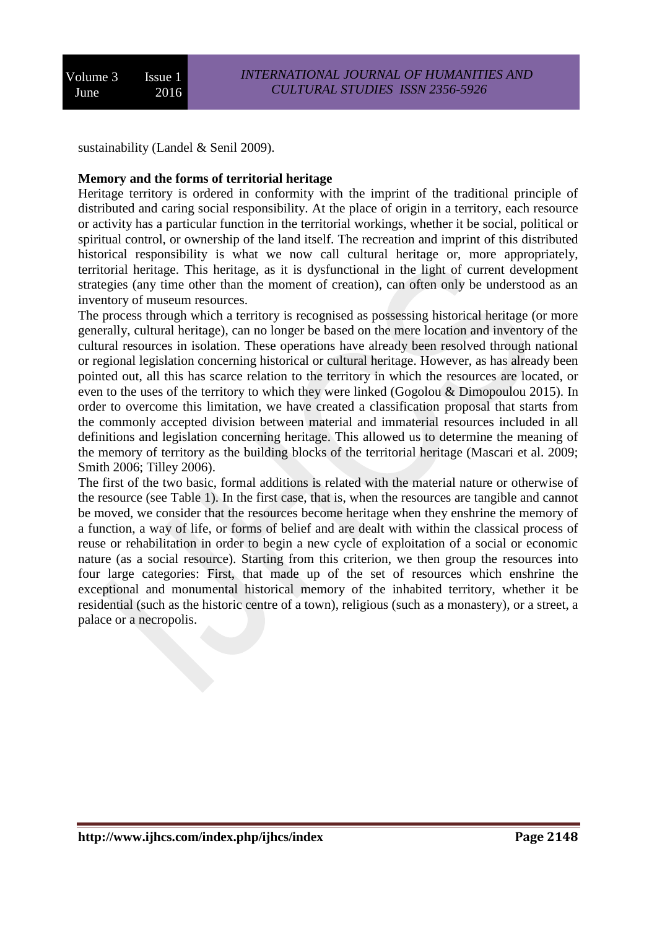sustainability (Landel & Senil 2009).

#### **Memory and the forms of territorial heritage**

Heritage territory is ordered in conformity with the imprint of the traditional principle of distributed and caring social responsibility. At the place of origin in a territory, each resource or activity has a particular function in the territorial workings, whether it be social, political or spiritual control, or ownership of the land itself. The recreation and imprint of this distributed historical responsibility is what we now call cultural heritage or, more appropriately, territorial heritage. This heritage, as it is dysfunctional in the light of current development strategies (any time other than the moment of creation), can often only be understood as an inventory of museum resources.

The process through which a territory is recognised as possessing historical heritage (or more generally, cultural heritage), can no longer be based on the mere location and inventory of the cultural resources in isolation. These operations have already been resolved through national or regional legislation concerning historical or cultural heritage. However, as has already been pointed out, all this has scarce relation to the territory in which the resources are located, or even to the uses of the territory to which they were linked (Gogolou & Dimopoulou 2015). In order to overcome this limitation, we have created a classification proposal that starts from the commonly accepted division between material and immaterial resources included in all definitions and legislation concerning heritage. This allowed us to determine the meaning of the memory of territory as the building blocks of the territorial heritage (Mascari et al. 2009; Smith 2006; Tilley 2006).

The first of the two basic, formal additions is related with the material nature or otherwise of the resource (see Table 1). In the first case, that is, when the resources are tangible and cannot be moved, we consider that the resources become heritage when they enshrine the memory of a function, a way of life, or forms of belief and are dealt with within the classical process of reuse or rehabilitation in order to begin a new cycle of exploitation of a social or economic nature (as a social resource). Starting from this criterion, we then group the resources into four large categories: First, that made up of the set of resources which enshrine the exceptional and monumental historical memory of the inhabited territory, whether it be residential (such as the historic centre of a town), religious (such as a monastery), or a street, a palace or a necropolis.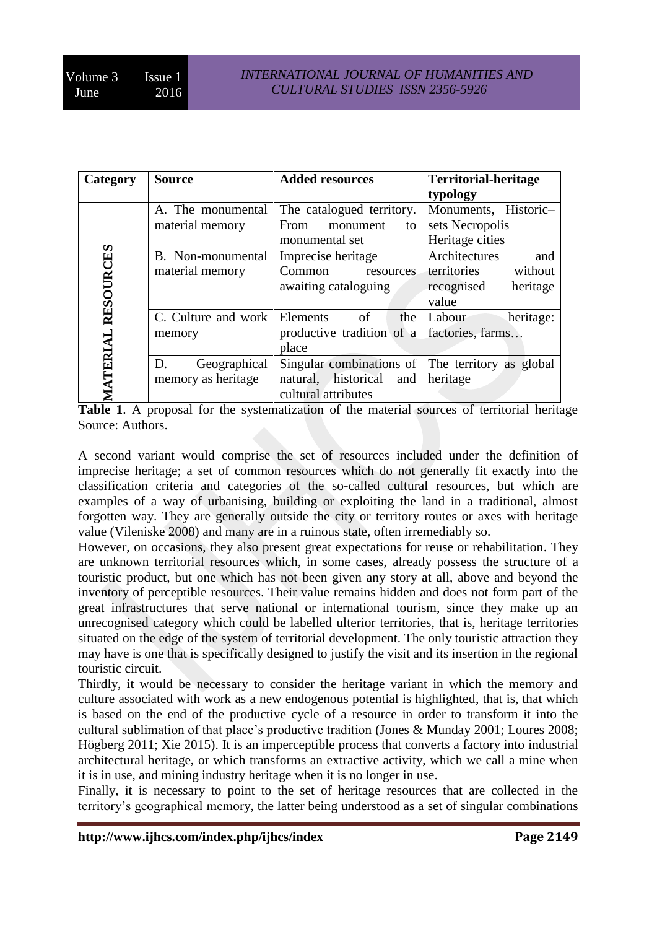| Category         | <b>Source</b>       | <b>Added resources</b>                           | <b>Territorial-heritage</b> |
|------------------|---------------------|--------------------------------------------------|-----------------------------|
|                  |                     |                                                  | typology                    |
|                  | A. The monumental   | The catalogued territory.                        | Monuments, Historic-        |
|                  | material memory     | From<br>monument<br>to                           | sets Necropolis             |
|                  |                     | monumental set                                   | Heritage cities             |
|                  | B. Non-monumental   | Imprecise heritage                               | Architectures<br>and        |
|                  | material memory     | Common<br>resources                              | territories<br>without      |
|                  |                     | awaiting cataloguing                             | heritage<br>recognised      |
| <b>RESOURCES</b> |                     |                                                  | value                       |
|                  | C. Culture and work | Elements<br>of<br>the                            | Labour<br>heritage:         |
|                  | memory              | productive tradition of a                        | factories, farms            |
| <b>IATERIAL</b>  |                     | place                                            |                             |
|                  | D.<br>Geographical  | Singular combinations of The territory as global |                             |
|                  | memory as heritage  | natural, historical<br>and                       | heritage                    |
|                  |                     | cultural attributes                              |                             |

**Table 1**. A proposal for the systematization of the material sources of territorial heritage Source: Authors.

A second variant would comprise the set of resources included under the definition of imprecise heritage; a set of common resources which do not generally fit exactly into the classification criteria and categories of the so-called cultural resources, but which are examples of a way of urbanising, building or exploiting the land in a traditional, almost forgotten way. They are generally outside the city or territory routes or axes with heritage value (Vileniske 2008) and many are in a ruinous state, often irremediably so.

However, on occasions, they also present great expectations for reuse or rehabilitation. They are unknown territorial resources which, in some cases, already possess the structure of a touristic product, but one which has not been given any story at all, above and beyond the inventory of perceptible resources. Their value remains hidden and does not form part of the great infrastructures that serve national or international tourism, since they make up an unrecognised category which could be labelled ulterior territories, that is, heritage territories situated on the edge of the system of territorial development. The only touristic attraction they may have is one that is specifically designed to justify the visit and its insertion in the regional touristic circuit.

Thirdly, it would be necessary to consider the heritage variant in which the memory and culture associated with work as a new endogenous potential is highlighted, that is, that which is based on the end of the productive cycle of a resource in order to transform it into the cultural sublimation of that place's productive tradition (Jones & Munday 2001; Loures 2008; Högberg 2011; Xie 2015). It is an imperceptible process that converts a factory into industrial architectural heritage, or which transforms an extractive activity, which we call a mine when it is in use, and mining industry heritage when it is no longer in use.

Finally, it is necessary to point to the set of heritage resources that are collected in the territory's geographical memory, the latter being understood as a set of singular combinations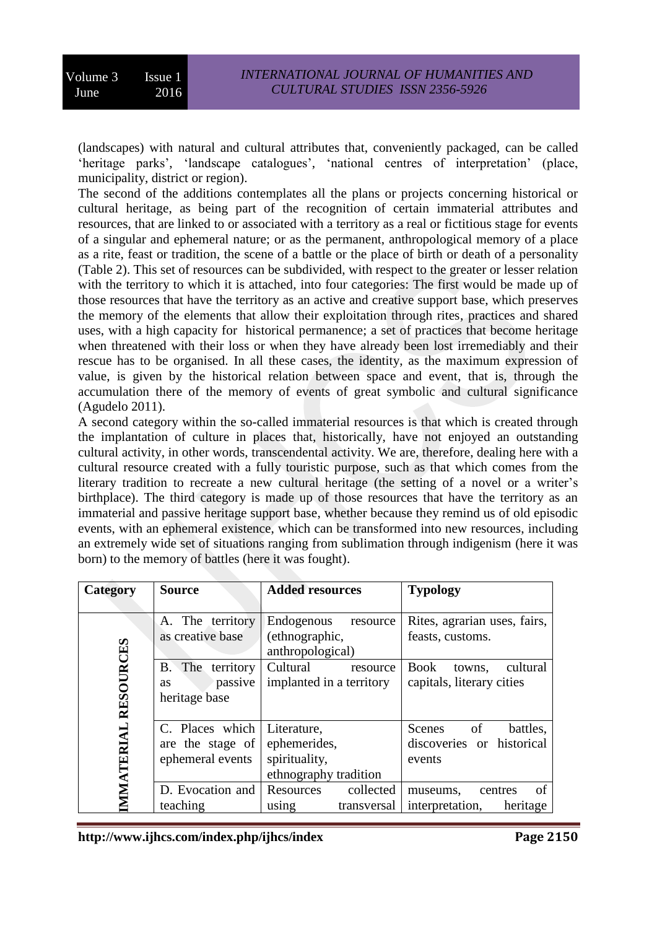(landscapes) with natural and cultural attributes that, conveniently packaged, can be called 'heritage parks', 'landscape catalogues', 'national centres of interpretation' (place, municipality, district or region).

The second of the additions contemplates all the plans or projects concerning historical or cultural heritage, as being part of the recognition of certain immaterial attributes and resources, that are linked to or associated with a territory as a real or fictitious stage for events of a singular and ephemeral nature; or as the permanent, anthropological memory of a place as a rite, feast or tradition, the scene of a battle or the place of birth or death of a personality (Table 2). This set of resources can be subdivided, with respect to the greater or lesser relation with the territory to which it is attached, into four categories: The first would be made up of those resources that have the territory as an active and creative support base, which preserves the memory of the elements that allow their exploitation through rites, practices and shared uses, with a high capacity for historical permanence; a set of practices that become heritage when threatened with their loss or when they have already been lost irremediably and their rescue has to be organised. In all these cases, the identity, as the maximum expression of value, is given by the historical relation between space and event, that is, through the accumulation there of the memory of events of great symbolic and cultural significance (Agudelo 2011).

A second category within the so-called immaterial resources is that which is created through the implantation of culture in places that, historically, have not enjoyed an outstanding cultural activity, in other words, transcendental activity. We are, therefore, dealing here with a cultural resource created with a fully touristic purpose, such as that which comes from the literary tradition to recreate a new cultural heritage (the setting of a novel or a writer's birthplace). The third category is made up of those resources that have the territory as an immaterial and passive heritage support base, whether because they remind us of old episodic events, with an ephemeral existence, which can be transformed into new resources, including an extremely wide set of situations ranging from sublimation through indigenism (here it was born) to the memory of battles (here it was fought).

| Category        | <b>Source</b>              | <b>Added resources</b>   | <b>Typology</b>                   |
|-----------------|----------------------------|--------------------------|-----------------------------------|
|                 |                            |                          |                                   |
|                 | A. The territory           | Endogenous<br>resource   | Rites, agrarian uses, fairs,      |
|                 | as creative base           | (ethnographic,           | feasts, customs.                  |
|                 |                            | anthropological)         |                                   |
| RESOURCES       | The territory<br><b>B.</b> | Cultural<br>resource     | cultural<br><b>Book</b><br>towns. |
|                 | passive<br><b>as</b>       | implanted in a territory | capitals, literary cities         |
|                 | heritage base              |                          |                                   |
|                 |                            |                          |                                   |
|                 | C. Places which            | Literature,              | Scenes<br>battles,<br>of          |
|                 | are the stage of           | ephemerides,             | discoveries or historical         |
|                 | ephemeral events           | spirituality,            | events                            |
|                 |                            | ethnography tradition    |                                   |
| <b>MATERIAL</b> | D. Evocation and           | Resources<br>collected   | of<br>centres<br>museums,         |
|                 | teaching                   | transversal<br>using     | interpretation,<br>heritage       |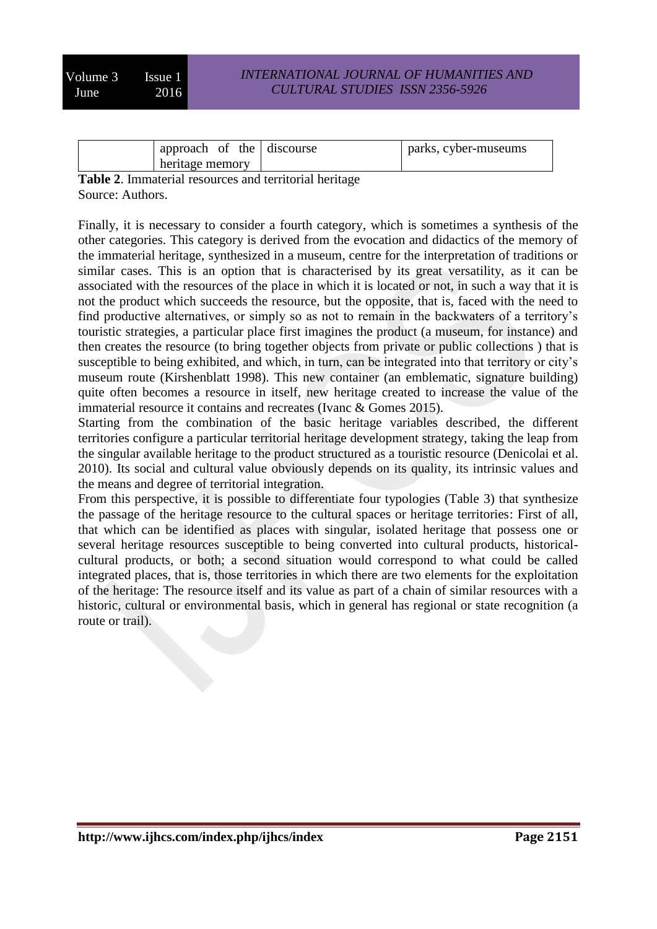| approach of the discourse | parks, cyber-museums |
|---------------------------|----------------------|
| heritage memory           |                      |

**Table 2**. Immaterial resources and territorial heritage Source: Authors.

Finally, it is necessary to consider a fourth category, which is sometimes a synthesis of the other categories. This category is derived from the evocation and didactics of the memory of the immaterial heritage, synthesized in a museum, centre for the interpretation of traditions or similar cases. This is an option that is characterised by its great versatility, as it can be associated with the resources of the place in which it is located or not, in such a way that it is not the product which succeeds the resource, but the opposite, that is, faced with the need to find productive alternatives, or simply so as not to remain in the backwaters of a territory's touristic strategies, a particular place first imagines the product (a museum, for instance) and then creates the resource (to bring together objects from private or public collections ) that is susceptible to being exhibited, and which, in turn, can be integrated into that territory or city's museum route (Kirshenblatt 1998). This new container (an emblematic, signature building) quite often becomes a resource in itself, new heritage created to increase the value of the immaterial resource it contains and recreates (Ivanc & Gomes 2015).

Starting from the combination of the basic heritage variables described, the different territories configure a particular territorial heritage development strategy, taking the leap from the singular available heritage to the product structured as a touristic resource (Denicolai et al. 2010). Its social and cultural value obviously depends on its quality, its intrinsic values and the means and degree of territorial integration.

From this perspective, it is possible to differentiate four typologies (Table 3) that synthesize the passage of the heritage resource to the cultural spaces or heritage territories: First of all, that which can be identified as places with singular, isolated heritage that possess one or several heritage resources susceptible to being converted into cultural products, historicalcultural products, or both; a second situation would correspond to what could be called integrated places, that is, those territories in which there are two elements for the exploitation of the heritage: The resource itself and its value as part of a chain of similar resources with a historic, cultural or environmental basis, which in general has regional or state recognition (a route or trail).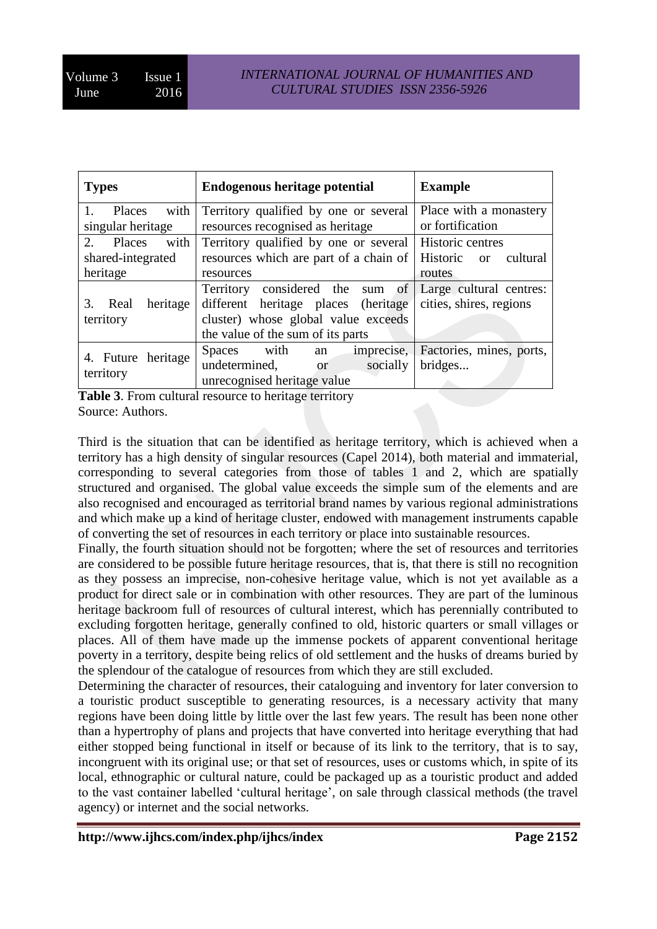| <b>Types</b>                                                      | <b>Endogenous heritage potential</b>                                                                                                               | <b>Example</b>                                     |
|-------------------------------------------------------------------|----------------------------------------------------------------------------------------------------------------------------------------------------|----------------------------------------------------|
| with<br>Places<br>singular heritage                               | Territory qualified by one or several<br>resources recognised as heritage                                                                          | Place with a monastery<br>or fortification         |
| with<br>2 <sub>1</sub><br>Places<br>shared-integrated<br>heritage | Territory qualified by one or several<br>resources which are part of a chain of<br>resources                                                       | Historic centres<br>Historic or cultural<br>routes |
| heritage<br>3.<br>Real<br>territory                               | Territory considered the sum of<br>different heritage places (heritage<br>cluster) whose global value exceeds<br>the value of the sum of its parts | Large cultural centres:<br>cities, shires, regions |
| 4. Future heritage<br>territory                                   | imprecise,<br>Spaces with<br>an<br>undetermined,<br>socially<br>or or<br>unrecognised heritage value                                               | Factories, mines, ports,<br>bridges                |

**Table 3**. From cultural resource to heritage territory Source: Authors.

Third is the situation that can be identified as heritage territory, which is achieved when a territory has a high density of singular resources (Capel 2014), both material and immaterial, corresponding to several categories from those of tables 1 and 2, which are spatially structured and organised. The global value exceeds the simple sum of the elements and are also recognised and encouraged as territorial brand names by various regional administrations and which make up a kind of heritage cluster, endowed with management instruments capable of converting the set of resources in each territory or place into sustainable resources.

Finally, the fourth situation should not be forgotten; where the set of resources and territories are considered to be possible future heritage resources, that is, that there is still no recognition as they possess an imprecise, non-cohesive heritage value, which is not yet available as a product for direct sale or in combination with other resources. They are part of the luminous heritage backroom full of resources of cultural interest, which has perennially contributed to excluding forgotten heritage, generally confined to old, historic quarters or small villages or places. All of them have made up the immense pockets of apparent conventional heritage poverty in a territory, despite being relics of old settlement and the husks of dreams buried by the splendour of the catalogue of resources from which they are still excluded.

Determining the character of resources, their cataloguing and inventory for later conversion to a touristic product susceptible to generating resources, is a necessary activity that many regions have been doing little by little over the last few years. The result has been none other than a hypertrophy of plans and projects that have converted into heritage everything that had either stopped being functional in itself or because of its link to the territory, that is to say, incongruent with its original use; or that set of resources, uses or customs which, in spite of its local, ethnographic or cultural nature, could be packaged up as a touristic product and added to the vast container labelled 'cultural heritage', on sale through classical methods (the travel agency) or internet and the social networks.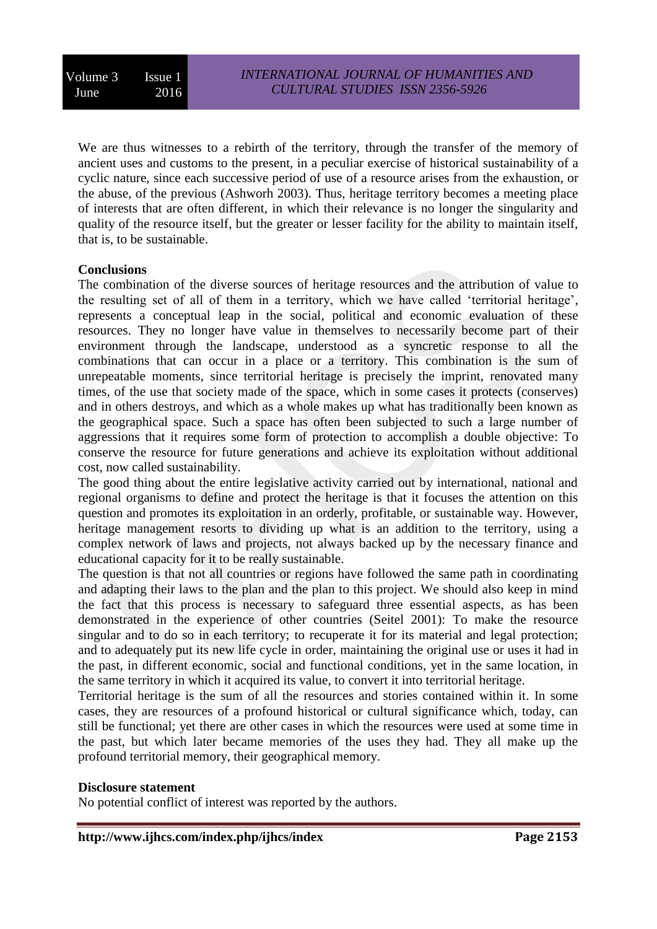We are thus witnesses to a rebirth of the territory, through the transfer of the memory of ancient uses and customs to the present, in a peculiar exercise of historical sustainability of a cyclic nature, since each successive period of use of a resource arises from the exhaustion, or the abuse, of the previous (Ashworh 2003). Thus, heritage territory becomes a meeting place of interests that are often different, in which their relevance is no longer the singularity and quality of the resource itself, but the greater or lesser facility for the ability to maintain itself, that is, to be sustainable.

#### **Conclusions**

The combination of the diverse sources of heritage resources and the attribution of value to the resulting set of all of them in a territory, which we have called 'territorial heritage', represents a conceptual leap in the social, political and economic evaluation of these resources. They no longer have value in themselves to necessarily become part of their environment through the landscape, understood as a syncretic response to all the combinations that can occur in a place or a territory. This combination is the sum of unrepeatable moments, since territorial heritage is precisely the imprint, renovated many times, of the use that society made of the space, which in some cases it protects (conserves) and in others destroys, and which as a whole makes up what has traditionally been known as the geographical space. Such a space has often been subjected to such a large number of aggressions that it requires some form of protection to accomplish a double objective: To conserve the resource for future generations and achieve its exploitation without additional cost, now called sustainability.

The good thing about the entire legislative activity carried out by international, national and regional organisms to define and protect the heritage is that it focuses the attention on this question and promotes its exploitation in an orderly, profitable, or sustainable way. However, heritage management resorts to dividing up what is an addition to the territory, using a complex network of laws and projects, not always backed up by the necessary finance and educational capacity for it to be really sustainable.

The question is that not all countries or regions have followed the same path in coordinating and adapting their laws to the plan and the plan to this project. We should also keep in mind the fact that this process is necessary to safeguard three essential aspects, as has been demonstrated in the experience of other countries (Seitel 2001): To make the resource singular and to do so in each territory; to recuperate it for its material and legal protection; and to adequately put its new life cycle in order, maintaining the original use or uses it had in the past, in different economic, social and functional conditions, yet in the same location, in the same territory in which it acquired its value, to convert it into territorial heritage.

Territorial heritage is the sum of all the resources and stories contained within it. In some cases, they are resources of a profound historical or cultural significance which, today, can still be functional; yet there are other cases in which the resources were used at some time in the past, but which later became memories of the uses they had. They all make up the profound territorial memory, their geographical memory.

#### **Disclosure statement**

No potential conflict of interest was reported by the authors.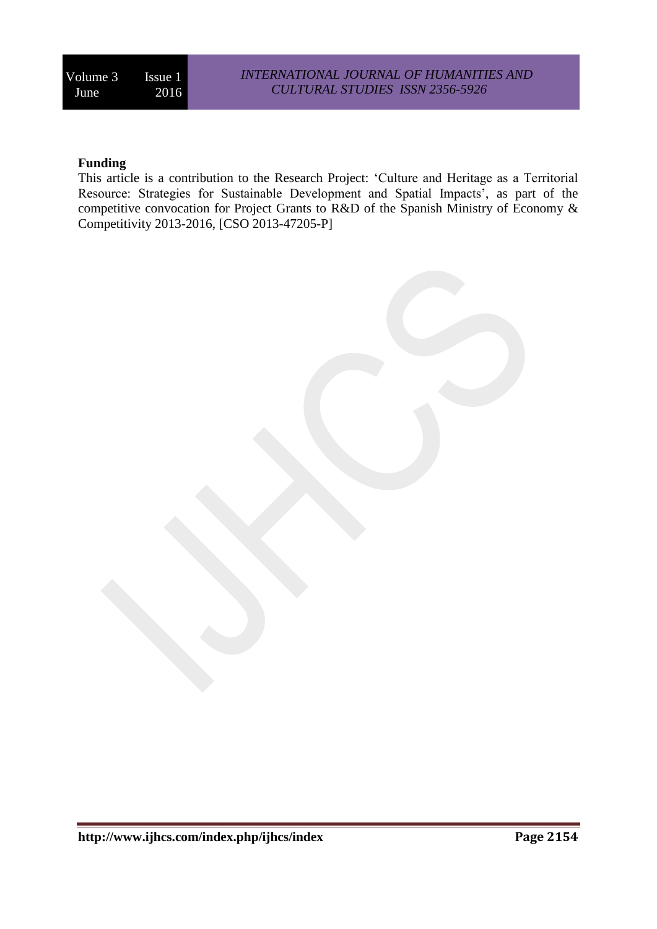# **Funding**

This article is a contribution to the Research Project: 'Culture and Heritage as a Territorial Resource: Strategies for Sustainable Development and Spatial Impacts', as part of the competitive convocation for Project Grants to R&D of the Spanish Ministry of Economy & Competitivity 2013-2016, [CSO 2013-47205-P]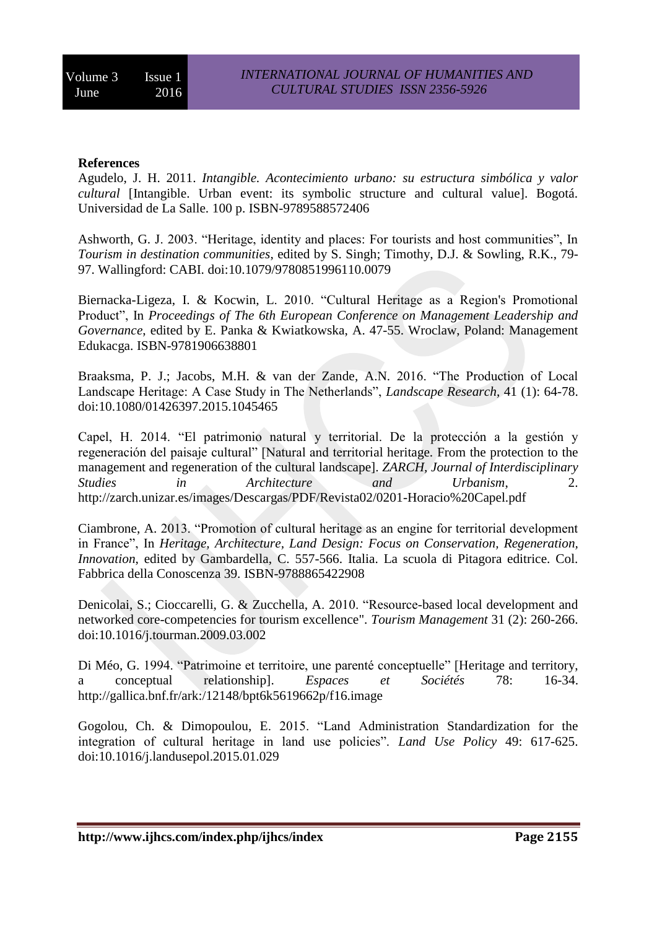#### **References**

Agudelo, J. H. 2011. *Intangible. Acontecimiento urbano: su estructura simbólica y valor cultural* [Intangible. Urban event: its symbolic structure and cultural value]. Bogotá. Universidad de La Salle. 100 p. ISBN-9789588572406

Ashworth, G. J. 2003. "Heritage, identity and places: For tourists and host communities", In *Tourism in destination communities*, edited by S. Singh; Timothy, D.J. & Sowling, R.K., 79- 97. Wallingford: CABI. doi[:10.1079/9780851996110.0079](http://dx.doi.org/10.1079/9780851996110.0079)

Biernacka-Ligeza, I. & Kocwin, L. 2010. "Cultural Heritage as a Region's Promotional Product", In *Proceedings of The 6th European Conference on Management Leadership and Governance*, edited by E. Panka & Kwiatkowska, A. 47-55. Wroclaw, Poland: Management Edukacga. ISBN-9781906638801

Braaksma, P. J.; Jacobs, M.H. & van der Zande, A.N. 2016. "The Production of Local Landscape Heritage: A Case Study in The Netherlands", *Landscape Research*, 41 (1): 64-78. doi[:10.1080/01426397.2015.1045465](http://dx.doi.org/10.1080/01426397.2015.1045465)

Capel, H. 2014. "El patrimonio natural y territorial. De la protección a la gestión y regeneración del paisaje cultural" [Natural and territorial heritage. From the protection to the management and regeneration of the cultural landscape]. *ZARCH, Journal of Interdisciplinary Studies in Architecture and Urbanism*, 2. <http://zarch.unizar.es/images/Descargas/PDF/Revista02/0201-Horacio%20Capel.pdf>

Ciambrone, A. 2013. "Promotion of cultural heritage as an engine for territorial development in France", In *Heritage, Architecture, Land Design: Focus on Conservation, Regeneration, Innovation*, edited by Gambardella, C. 557-566. Italia. La scuola di Pitagora editrice. Col. Fabbrica della Conoscenza 39. ISBN-9788865422908

Denicolai, S.; Cioccarelli, G. & Zucchella, A. 2010. "Resource-based local development and networked core-competencies for tourism excellence". *Tourism Management* 31 (2): 260-266. doi[:10.1016/j.tourman.2009.03.002](http://dx.doi.org/10.1016/j.tourman.2009.03.002)

Di Méo, G. 1994. "Patrimoine et territoire, une parenté conceptuelle" [Heritage and territory, a conceptual relationship]. *Espaces et Sociétés* 78: 16-34. <http://gallica.bnf.fr/ark:/12148/bpt6k5619662p/f16.image>

Gogolou, Ch. & Dimopoulou, E. 2015. "Land Administration Standardization for the integration of cultural heritage in land use policies". *Land Use Policy* 49: 617-625. doi[:10.1016/j.landusepol.2015.01.029](http://dx.doi.org/10.1016/j.landusepol.2015.01.029)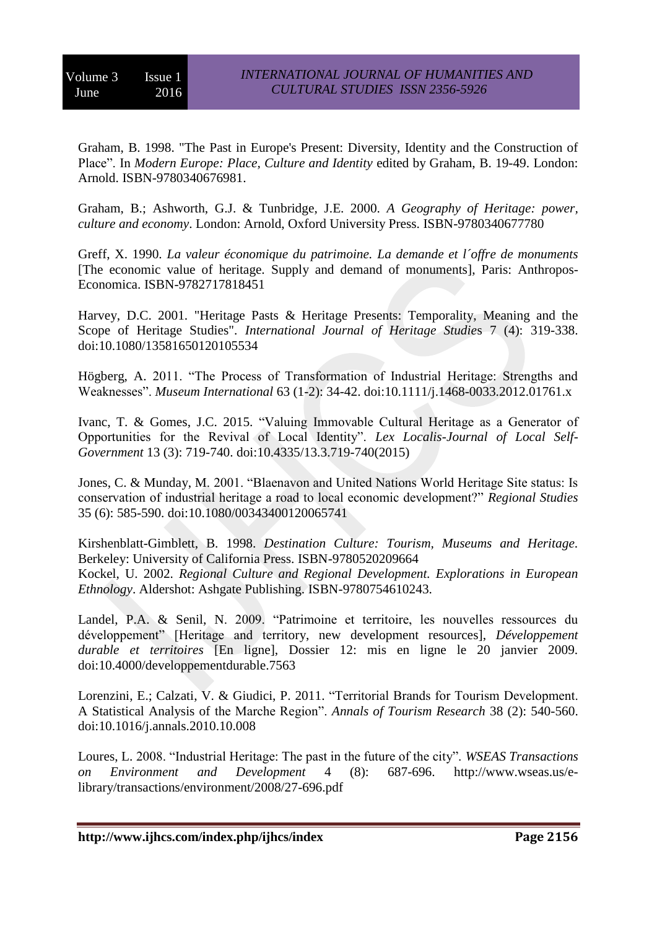Graham, B. 1998. "The Past in Europe's Present: Diversity, Identity and the Construction of Place". In *Modern Europe: Place, Culture and Identity* edited by Graham, B. 19-49. London: Arnold. ISBN-9780340676981.

Graham, B.; Ashworth, G.J. & Tunbridge, J.E. 2000. *A Geography of Heritage: power, culture and economy*. London: Arnold, Oxford University Press. ISBN-9780340677780

Greff, X. 1990. *La valeur économique du patrimoine. La demande et l´offre de monuments* [The economic value of heritage. Supply and demand of monuments], Paris: Anthropos-Economica. ISBN-9782717818451

Harvey, D.C. 2001. "Heritage Pasts & Heritage Presents: Temporality, Meaning and the Scope of Heritage Studies". *International Journal of Heritage Studie*s 7 (4): 319-338. doi[:10.1080/13581650120105534](http://dx.doi.org/10.1080/13581650120105534)

Högberg, A. 2011. "The Process of Transformation of Industrial Heritage: Strengths and Weaknesses". *Museum International* 63 (1-2): 34-42. doi[:10.1111/j.1468-0033.2012.01761.x](http://dx.doi.org/10.1111/j.1468-0033.2012.01761.x)

Ivanc, T. & Gomes, J.C. 2015. "Valuing Immovable Cultural Heritage as a Generator of Opportunities for the Revival of Local Identity". *Lex Localis-Journal of Local Self-Government* 13 (3): 719-740. doi[:10.4335/13.3.719-740\(2015\)](http://dx.doi.org/10.4335/13.3.719-740(2015))

Jones, C. & Munday, M. 2001. "Blaenavon and United Nations World Heritage Site status: Is conservation of industrial heritage a road to local economic development?" *Regional Studies* 35 (6): 585-590. doi[:10.1080/00343400120065741](http://dx.doi.org/10.1080/00343400120065741)

Kirshenblatt-Gimblett, B. 1998. *Destination Culture: Tourism, Museums and Heritage.* Berkeley: University of California Press. ISBN-9780520209664 Kockel, U. 2002. *Regional Culture and Regional Development. Explorations in European Ethnology*. Aldershot: Ashgate Publishing. ISBN-9780754610243.

Landel, P.A. & Senil, N. 2009. "Patrimoine et territoire, les nouvelles ressources du développement" [Heritage and territory, new development resources], *Développement durable et territoires* [En ligne], Dossier 12: mis en ligne le 20 janvier 2009. doi[:10.4000/developpementdurable.7563](http://dx.doi.org/10.4000/developpementdurable.7563)

Lorenzini, E.; Calzati, V. & Giudici, P. 2011. "Territorial Brands for Tourism Development. A Statistical Analysis of the Marche Region". *Annals of Tourism Research* 38 (2): 540-560. doi[:10.1016/j.annals.2010.10.008](http://dx.doi.org/10.1016/j.annals.2010.10.008)

Loures, L. 2008. "Industrial Heritage: The past in the future of the city". *WSEAS Transactions on Environment and Development* 4 (8): 687-696. [http://www.wseas.us/e](http://www.wseas.us/e-library/transactions/environment/2008/27-696.pdf)[library/transactions/environment/2008/27-696.pdf](http://www.wseas.us/e-library/transactions/environment/2008/27-696.pdf)